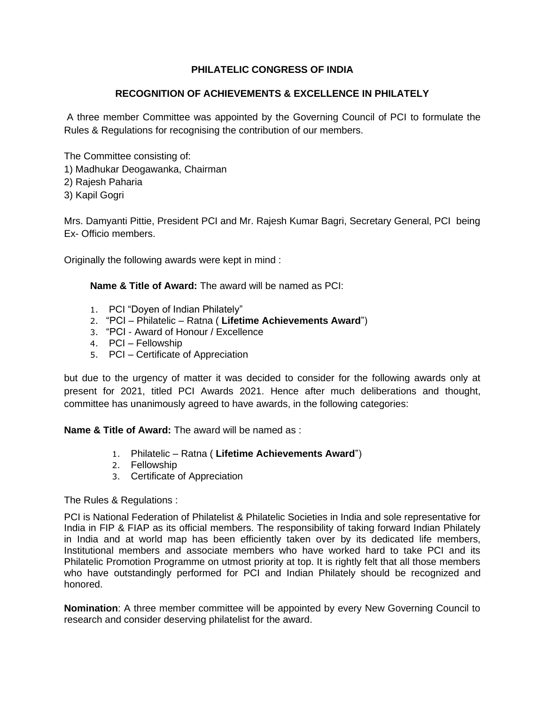# **PHILATELIC CONGRESS OF INDIA**

# **RECOGNITION OF ACHIEVEMENTS & EXCELLENCE IN PHILATELY**

A three member Committee was appointed by the Governing Council of PCI to formulate the Rules & Regulations for recognising the contribution of our members.

The Committee consisting of:

- 1) Madhukar Deogawanka, Chairman
- 2) Rajesh Paharia
- 3) Kapil Gogri

Mrs. Damyanti Pittie, President PCI and Mr. Rajesh Kumar Bagri, Secretary General, PCI being Ex- Officio members.

Originally the following awards were kept in mind :

# **Name & Title of Award:** The award will be named as PCI:

- 1. PCI "Doyen of Indian Philately"
- 2. "PCI Philatelic Ratna ( **Lifetime Achievements Award**")
- 3. "PCI Award of Honour / Excellence
- 4. PCI Fellowship
- 5. PCI Certificate of Appreciation

but due to the urgency of matter it was decided to consider for the following awards only at present for 2021, titled PCI Awards 2021. Hence after much deliberations and thought, committee has unanimously agreed to have awards, in the following categories:

**Name & Title of Award:** The award will be named as :

- 1. Philatelic Ratna ( **Lifetime Achievements Award**")
- 2. Fellowship
- 3. Certificate of Appreciation

The Rules & Regulations :

PCI is National Federation of Philatelist & Philatelic Societies in India and sole representative for India in FIP & FIAP as its official members. The responsibility of taking forward Indian Philately in India and at world map has been efficiently taken over by its dedicated life members, Institutional members and associate members who have worked hard to take PCI and its Philatelic Promotion Programme on utmost priority at top. It is rightly felt that all those members who have outstandingly performed for PCI and Indian Philately should be recognized and honored.

**Nomination**: A three member committee will be appointed by every New Governing Council to research and consider deserving philatelist for the award.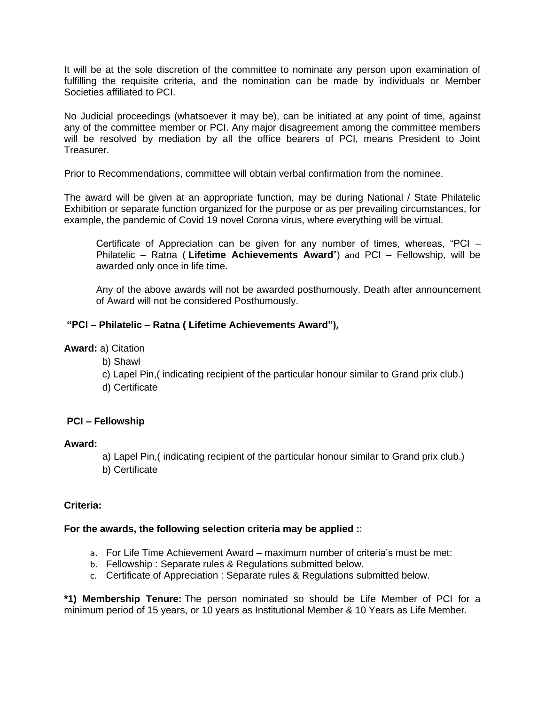It will be at the sole discretion of the committee to nominate any person upon examination of fulfilling the requisite criteria, and the nomination can be made by individuals or Member Societies affiliated to PCI.

No Judicial proceedings (whatsoever it may be), can be initiated at any point of time, against any of the committee member or PCI. Any major disagreement among the committee members will be resolved by mediation by all the office bearers of PCI, means President to Joint Treasurer.

Prior to Recommendations, committee will obtain verbal confirmation from the nominee.

The award will be given at an appropriate function, may be during National / State Philatelic Exhibition or separate function organized for the purpose or as per prevailing circumstances, for example, the pandemic of Covid 19 novel Corona virus, where everything will be virtual.

Certificate of Appreciation can be given for any number of times, whereas, "PCI – Philatelic – Ratna ( **Lifetime Achievements Award**") and PCI – Fellowship, will be awarded only once in life time.

Any of the above awards will not be awarded posthumously. Death after announcement of Award will not be considered Posthumously.

## **"PCI – Philatelic – Ratna ( Lifetime Achievements Award"),**

**Award:** a) Citation

- b) Shawl
- c) Lapel Pin,( indicating recipient of the particular honour similar to Grand prix club.)
- d) Certificate

## **PCI – Fellowship**

#### **Award:**

- a) Lapel Pin,( indicating recipient of the particular honour similar to Grand prix club.)
- b) Certificate

#### **Criteria:**

#### **For the awards, the following selection criteria may be applied :**:

- a. For Life Time Achievement Award maximum number of criteria's must be met:
- b. Fellowship : Separate rules & Regulations submitted below.
- c. Certificate of Appreciation : Separate rules & Regulations submitted below.

**\*1) Membership Tenure:** The person nominated so should be Life Member of PCI for a minimum period of 15 years, or 10 years as Institutional Member & 10 Years as Life Member.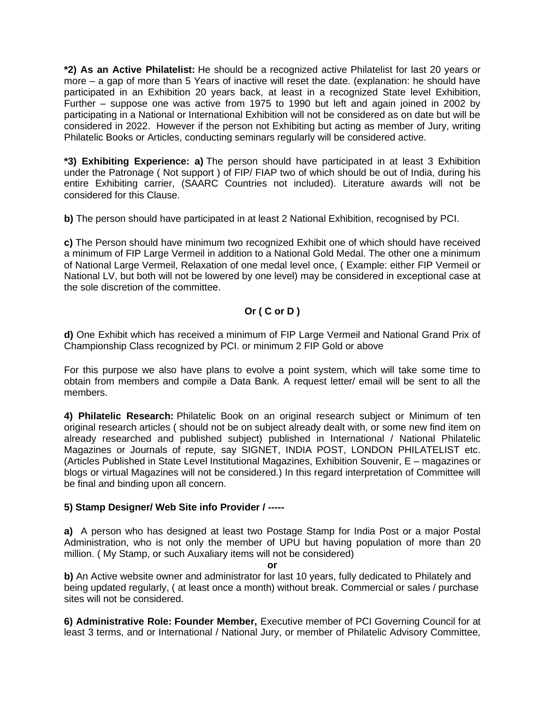**\*2) As an Active Philatelist:** He should be a recognized active Philatelist for last 20 years or more – a gap of more than 5 Years of inactive will reset the date. (explanation: he should have participated in an Exhibition 20 years back, at least in a recognized State level Exhibition, Further – suppose one was active from 1975 to 1990 but left and again joined in 2002 by participating in a National or International Exhibition will not be considered as on date but will be considered in 2022. However if the person not Exhibiting but acting as member of Jury, writing Philatelic Books or Articles, conducting seminars regularly will be considered active.

**\*3) Exhibiting Experience: a)** The person should have participated in at least 3 Exhibition under the Patronage ( Not support ) of FIP/ FIAP two of which should be out of India, during his entire Exhibiting carrier, (SAARC Countries not included). Literature awards will not be considered for this Clause.

**b)** The person should have participated in at least 2 National Exhibition, recognised by PCI.

**c)** The Person should have minimum two recognized Exhibit one of which should have received a minimum of FIP Large Vermeil in addition to a National Gold Medal. The other one a minimum of National Large Vermeil, Relaxation of one medal level once, ( Example: either FIP Vermeil or National LV, but both will not be lowered by one level) may be considered in exceptional case at the sole discretion of the committee.

# **Or ( C or D )**

**d)** One Exhibit which has received a minimum of FIP Large Vermeil and National Grand Prix of Championship Class recognized by PCI. or minimum 2 FIP Gold or above

For this purpose we also have plans to evolve a point system, which will take some time to obtain from members and compile a Data Bank. A request letter/ email will be sent to all the members.

**4) Philatelic Research:** Philatelic Book on an original research subject or Minimum of ten original research articles ( should not be on subject already dealt with, or some new find item on already researched and published subject) published in International / National Philatelic Magazines or Journals of repute, say SIGNET, INDIA POST, LONDON PHILATELIST etc. (Articles Published in State Level Institutional Magazines, Exhibition Souvenir, E – magazines or blogs or virtual Magazines will not be considered.) In this regard interpretation of Committee will be final and binding upon all concern.

# **5) Stamp Designer/ Web Site info Provider / -----**

**a)** A person who has designed at least two Postage Stamp for India Post or a major Postal Administration, who is not only the member of UPU but having population of more than 20 million. ( My Stamp, or such Auxaliary items will not be considered)

**or**

**b)** An Active website owner and administrator for last 10 years, fully dedicated to Philately and being updated regularly, ( at least once a month) without break. Commercial or sales / purchase sites will not be considered.

**6) Administrative Role: Founder Member,** Executive member of PCI Governing Council for at least 3 terms, and or International / National Jury, or member of Philatelic Advisory Committee,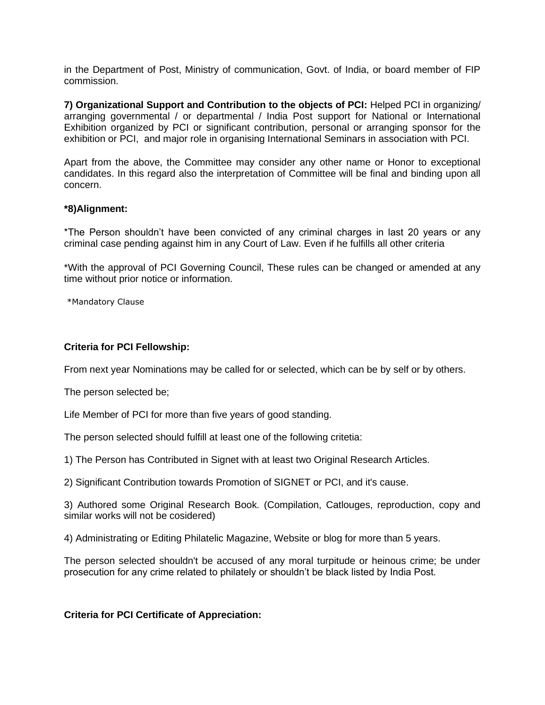in the Department of Post, Ministry of communication, Govt. of India, or board member of FIP commission.

**7) Organizational Support and Contribution to the objects of PCI:** Helped PCI in organizing/ arranging governmental / or departmental / India Post support for National or International Exhibition organized by PCI or significant contribution, personal or arranging sponsor for the exhibition or PCI, and major role in organising International Seminars in association with PCI.

Apart from the above, the Committee may consider any other name or Honor to exceptional candidates. In this regard also the interpretation of Committee will be final and binding upon all concern.

## **\*8)Alignment:**

\*The Person shouldn't have been convicted of any criminal charges in last 20 years or any criminal case pending against him in any Court of Law. Even if he fulfills all other criteria

\*With the approval of PCI Governing Council, These rules can be changed or amended at any time without prior notice or information.

\*Mandatory Clause

### **Criteria for PCI Fellowship:**

From next year Nominations may be called for or selected, which can be by self or by others.

The person selected be;

Life Member of PCI for more than five years of good standing.

The person selected should fulfill at least one of the following critetia:

1) The Person has Contributed in Signet with at least two Original Research Articles.

2) Significant Contribution towards Promotion of SIGNET or PCI, and it's cause.

3) Authored some Original Research Book. (Compilation, Catlouges, reproduction, copy and similar works will not be cosidered)

4) Administrating or Editing Philatelic Magazine, Website or blog for more than 5 years.

The person selected shouldn't be accused of any moral turpitude or heinous crime; be under prosecution for any crime related to philately or shouldn't be black listed by India Post.

## **Criteria for PCI Certificate of Appreciation:**